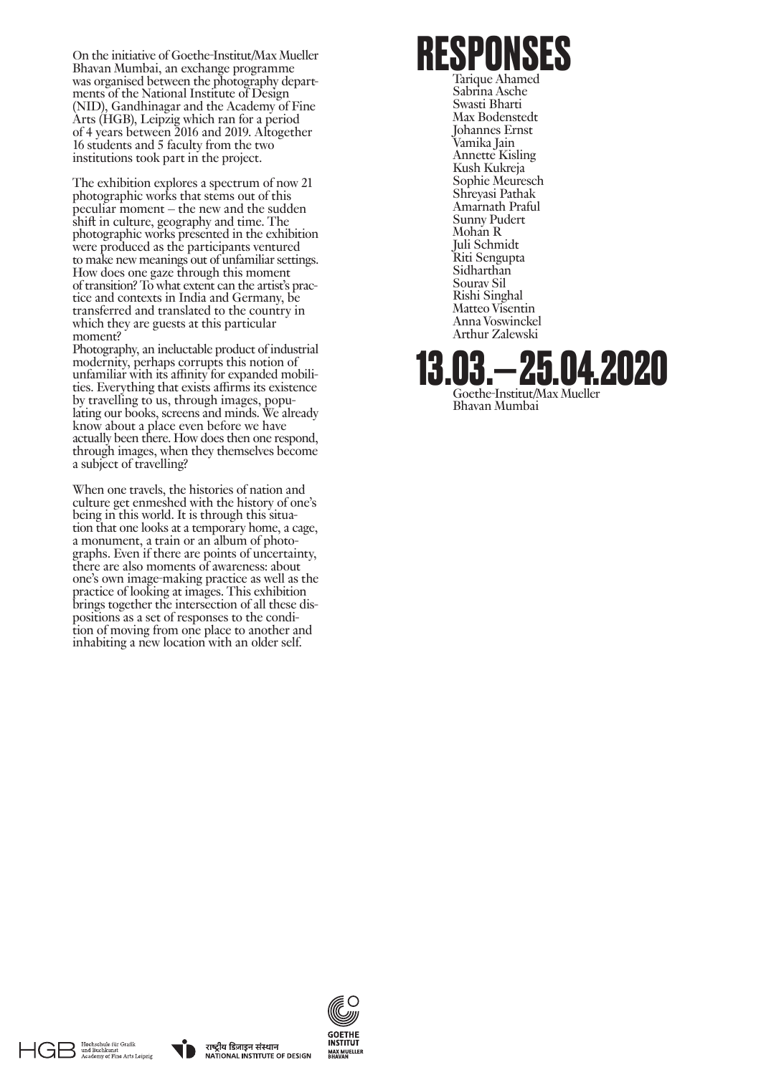On the initiative of Goethe-Institut/Max Mueller Bhavan Mumbai, an exchange programme was organised between the photography departments of the National Institute of Design (NID), Gandhinagar and the Academy of Fine Arts (HGB), Leipzig which ran for a period of 4 years between 2016 and 2019. Altogether 16 students and 5 faculty from the two institutions took part in the project.

The exhibition explores a spectrum of now 21 photographic works that stems out of this peculiar moment – the new and the sudden shift in culture, geography and time. The photographic works presented in the exhibition were produced as the participants ventured to make new meanings out of unfamiliar settings. How does one gaze through this moment of transition? To what extent can the artist's practice and contexts in India and Germany, be transferred and translated to the country in which they are guests at this particular moment?

Photography, an ineluctable product of industrial modernity, perhaps corrupts this notion of unfamiliar with its affinity for expanded mobilities. Everything that exists affirms its existence by travelling to us, through images, populating our books, screens and minds. We already know about a place even before we have actually been there. How does then one respond, through images, when they themselves become a subject of travelling?

When one travels, the histories of nation and culture get enmeshed with the history of one's being in this world. It is through this situation that one looks at a temporary home, a cage, a monument, a train or an album of photographs. Even if there are points of uncertainty, there are also moments of awareness: about one's own image-making practice as well as the practice of looking at images. This exhibition brings together the intersection of all these dispositions as a set of responses to the condition of moving from one place to another and inhabiting a new location with an older self.

**RESPONSES** Tarique Ahamed Sabrina Asche Swasti Bharti Max Bodenstedt Johannes Ernst Vamika Jain Annette Kisling Kush Kukreja Sophie Meuresch Shreyasi Pathak

Amarnath Praful Sunny Pudert Mohan R Juli Schmidt Riti Sengupta Sidharthan Sourav Sil Rishi Singhal Matteo Visentin Anna Voswinckel Arthur Zalewski

Bhavan Mumbai

**13.03.— 25.04.2020** Goethe-Institut/Max Mueller







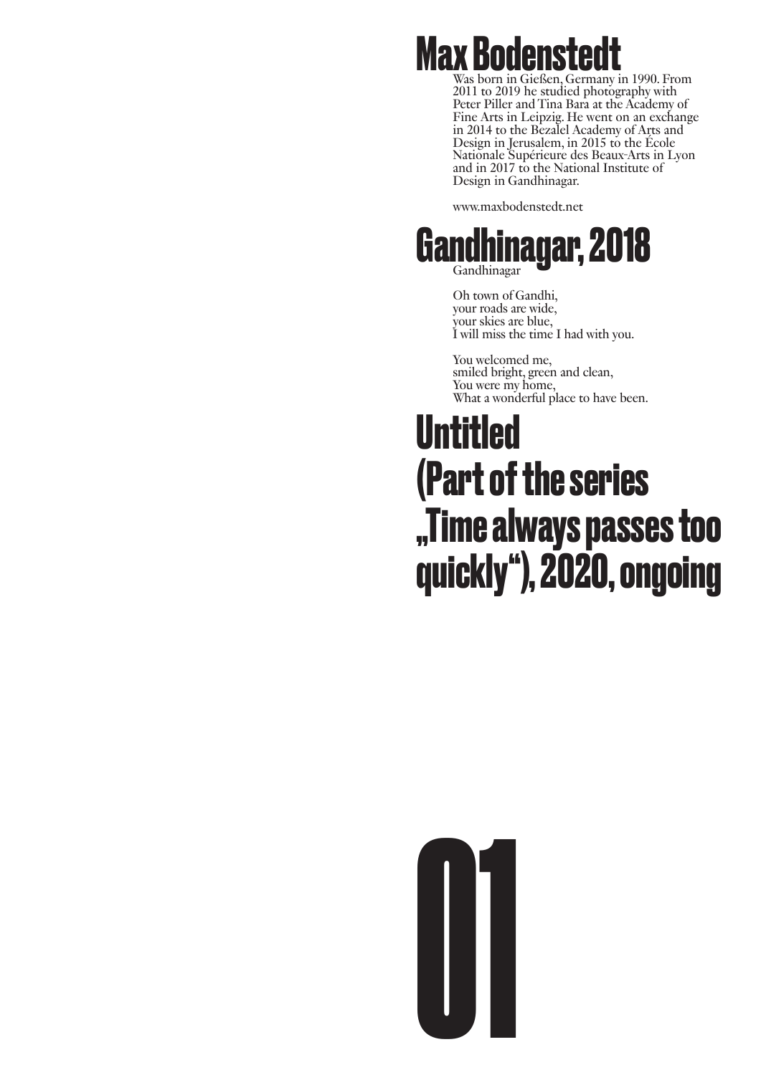

Was born in Gießen, Germany in 1990. From 2011 to 2019 he studied photography with Peter Piller and Tina Bara at the Academy of Fine Arts in Leipzig. He went on an exchange in 2014 to the Bezalel Academy of Arts and Design in Jerusalem, in 2015 to the École Nationale Supérieure des Beaux-Arts in Lyon and in 2017 to the National Institute of Design in Gandhinagar.

www.maxbodenstedt.net



Oh town of Gandhi, your roads are wide, your skies are blue, I will miss the time I had with you.

You welcomed me, smiled bright, green and clean, You were my home, What a wonderful place to have been.

#### **Untitled (Part of the series "Time always passes too quickly"), 2020, ongoing**

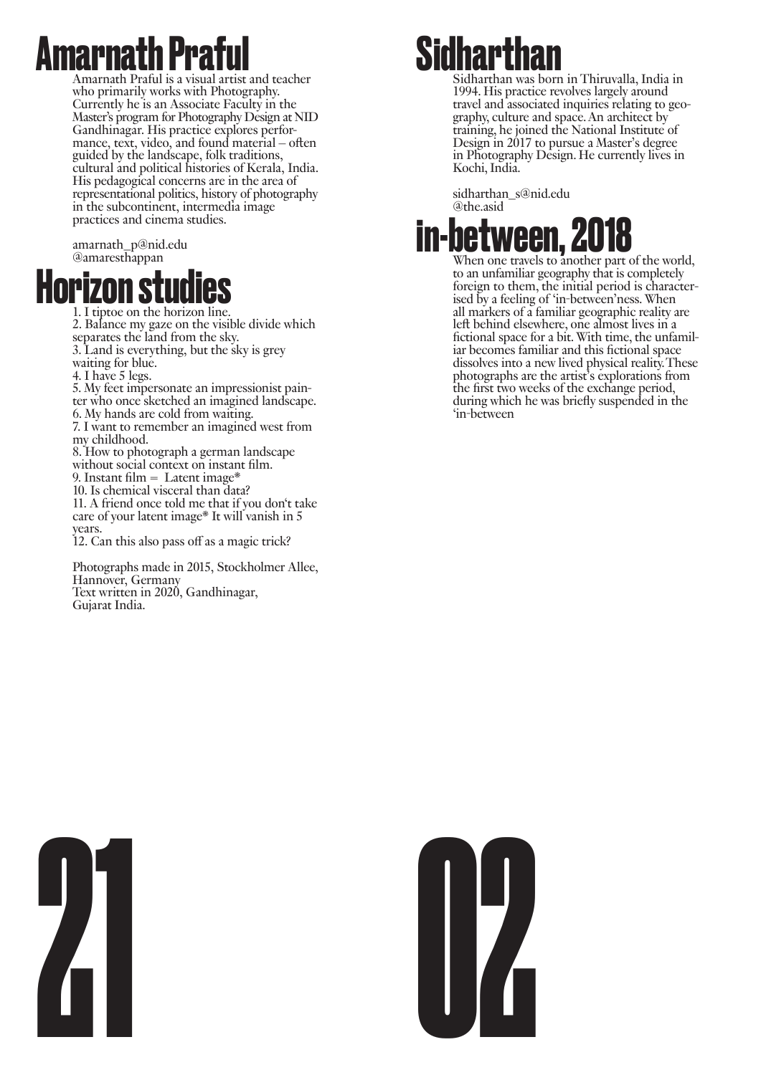#### **marnath Pra**f

Amarnath Praful is a visual artist and teacher who primarily works with Photography. Currently he is an Associate Faculty in the Master's program for Photography Design at NID mance, text, video, and found material – often guided by the landscape, folk traditions, cultural and political histories of Kerala, India. His pedagogical concerns are in the area of representational politics, history of photography in the subcontinent, intermedia image practices and cinema studies.

amarnath\_p@nid.edu @amaresthappan



1. I tiptoe on the horizon line.

2. Balance my gaze on the visible divide which separates the land from the sky.

- 3. Land is everything, but the sky is grey
- waiting for blue.
- 
- 4. I have 5 legs.<br>5. My feet impersonate an impressionist pain-
- ter who once sketched an imagined landscape.
- 6. My hands are cold from waiting.

7. I want to remember an imagined west from my childhood.

- 8. How to photograph a german landscape without social context on instant film.
- 9. Instant film  $=$  Latent image\*
- 10. Is chemical visceral than data?

11. A friend once told me that if you don't take care of your latent image\* It will vanish in 5 years.

12. Can this also pass off as a magic trick?

Photographs made in 2015, Stockholmer Allee, Hannover, Germany Text written in 2020, Gandhinagar, Gujarat India.



Sidharthan was born in Thiruvalla, India in 1994. His practice revolves largely around travel and associated inquiries relating to geography, culture and space. An architect by training, he joined the National Institute of Design in 2017 to pursue a Master's degree in Photography Design. He currently lives in Kochi, India.

sidharthan\_s@nid.edu @the.asid



to an unfamiliar geography that is completely foreign to them, the initial period is characterised by a feeling of 'in-between'ness. When all markers of a familiar geographic reality are left behind elsewhere, one almost lives in a fictional space for a bit. With time, the unfamiliar becomes familiar and this fictional space dissolves into a new lived physical reality. These photographs are the artist's explorations from the first two weeks of the exchange period, during which he was briefly suspended in the 'in-between



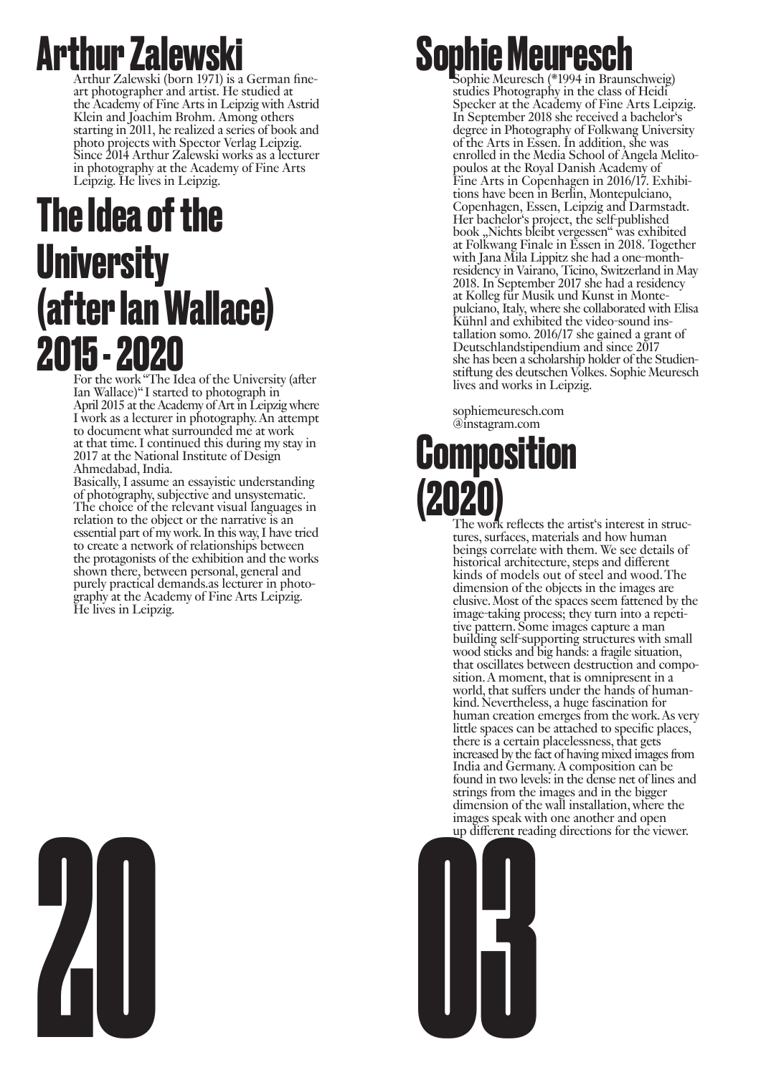#### **Arthur Zalewsk**

Arthur Zalewski (born 1971) is a German fineart photographer and artist. He studied at the Academy of Fine Arts in Leipzig with Astrid Klein and Joachim Brohm. Among others starting in 2011, he realized a series of book and photo projects with Spector Verlag Leipzig. Since 2014 Arthur Zalewski works as a lecturer in photography at the Academy of Fine Arts Leipzig. He lives in Leipzig.

#### **The Idea of the University (after Ian Wallace) 2015 - 2020**

For the work "The Idea of the University (after Ian Wallace)" I started to photograph in April 2015 at the Academy of Art in Leipzig where I work as a lecturer in photography. An attempt to document what surrounded me at work at that time. I continued this during my stay in 2017 at the National Institute of Design Ahmedabad, India.

Basically, I assume an essayistic understanding of photography, subjective and unsystematic. The choice of the relevant visual languages in relation to the object or the narrative is an essential part of my work. In this way, I have tried to create a network of relationships between the protagonists of the exhibition and the works shown there, between personal, general and purely practical demands.as lecturer in photography at the Academy of Fine Arts Leipzig. He lives in Leipzig.

#### **Sophie Meuresch (\*1994 in Braunschweig)**

studies Photography in the class of Heidi Specker at the Academy of Fine Arts Leipzig. In September 2018 she received a bachelor's degree in Photography of Folkwang University of the Arts in Essen. In addition, she was enrolled in the Media School of Angela Melitopoulos at the Royal Danish Academy of Fine Arts in Copenhagen in 2016/17. Exhibitions have been in Berlin, Montepulciano, Copenhagen, Essen, Leipzig and Darmstadt. Her bachelor's project, the self-published book "Nichts bleibt vergessen" was exhibited at Folkwang Finale in Essen in 2018. Together with Jana Mila Lippitz she had a one-monthresidency in Vairano, Ticino, Switzerland in May 2018. In September 2017 she had a residency at Kolleg für Musik und Kunst in Montepulciano, Italy, where she collaborated with Elisa tallation somo. 2016/17 she gained a grant of Deutschlandstipendium and since 2017 she has been a scholarship holder of the Studienstiftung des deutschen Volkes. Sophie Meuresch lives and works in Leipzig.

sophiemeuresch.com @instagram.com

# **Composition**

The work reflects the artist's interest in structures, surfaces, materials and how human beings correlate with them. We see details of historical architecture, steps and different kinds of models out of steel and wood. The dimension of the objects in the images are elusive. Most of the spaces seem fattened by the image-taking process; they turn into a repetitive pattern. Some images capture a man building self-supporting structures with small wood sticks and big hands: a fragile situation, that oscillates between destruction and composition. A moment, that is omnipresent in a world, that suffers under the hands of humankind. Nevertheless, a huge fascination for human creation emerges from the work. As very little spaces can be attached to specific places, there is a certain placelessness, that gets increased by the fact of having mixed images from India and Germany. A composition can be found in two levels: in the dense net of lines and strings from the images and in the bigger dimension of the wall installation, where the images speak with one another and open up different reading directions for the viewer.



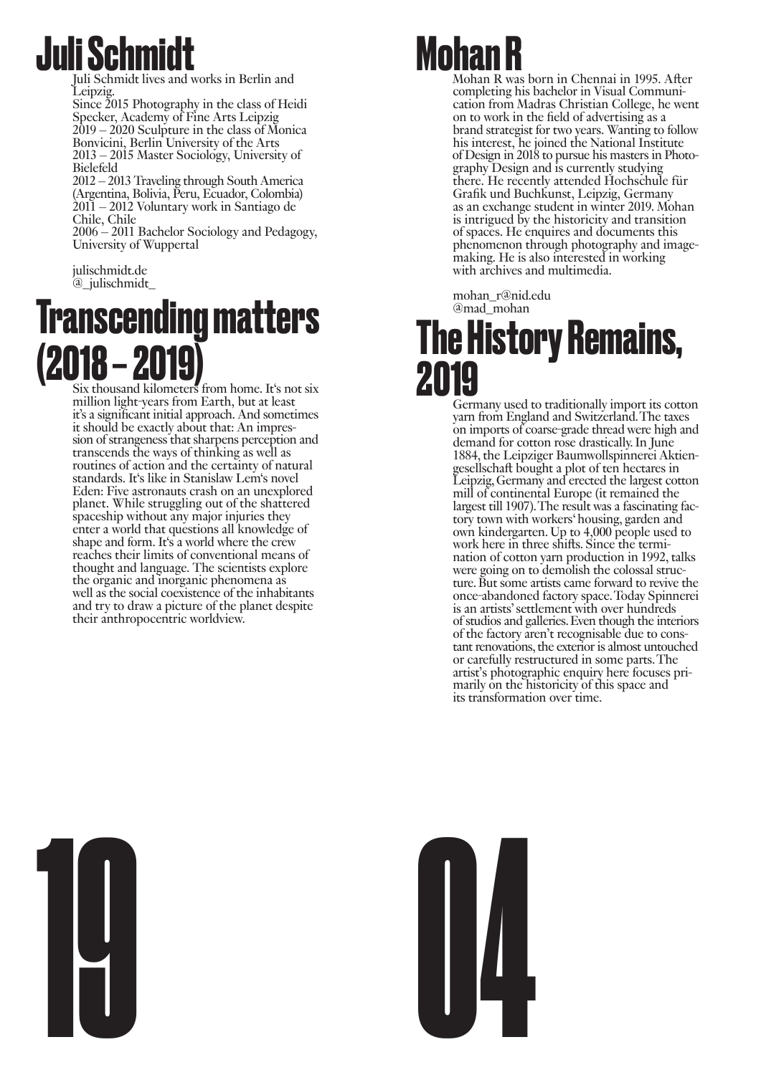#### **Juli Schmid**

Juli Schmidt lives and works in Berlin and Leipzig.

Since 2015 Photography in the class of Heidi Specker, Academy of Fine Arts Leipzig 2019 – 2020 Sculpture in the class of Monica Bonvicini, Berlin University of the Arts 2013 – 2015 Master Sociology, University of Bielefeld

2012 – 2013 Traveling through South America (Argentina, Bolivia, Peru, Ecuador, Colombia) 2011 – 2012 Voluntary work in Santiago de Chile, Chile

2006 – 2011 Bachelor Sociology and Pedagogy, University of Wuppertal

julischmidt.de @\_julischmidt\_

#### **Transcending matters**   $\binom{2018-2019}{s$  Six thousand kilometers from home. It's not six

million light-years from Earth, but at least it's a significant initial approach. And sometimes it should be exactly about that: An impression of strangeness that sharpens perception and transcends the ways of thinking as well as routines of action and the certainty of natural standards. It's like in Stanislaw Lem's novel Eden: Five astronauts crash on an unexplored planet. While struggling out of the shattered spaceship without any major injuries they enter a world that questions all knowledge of shape and form. It's a world where the crew reaches their limits of conventional means of thought and language. The scientists explore the organic and inorganic phenomena as well as the social coexistence of the inhabitants and try to draw a picture of the planet despite their anthropocentric worldview.

#### **Tohan**

Mohan R was born in Chennai in 1995. After completing his bachelor in Visual Communication from Madras Christian College, he went on to work in the field of advertising as a brand strategist for two years. Wanting to follow his interest, he joined the National Institute  of Design in 2018 to pursue his masters in Photography Design and is currently studying there. He recently attended Hochschule für Grafik und Buchkunst, Leipzig, Germany as an exchange student in winter 2019. Mohan is intrigued by the historicity and transition of spaces. He enquires and documents this phenomenon through photography and imagemaking. He is also interested in working with archives and multimedia.

mohan\_r@nid.edu @mad\_mohan

#### **The History Remains, 2019**

Germany used to traditionally import its cotton yarn from England and Switzerland. The taxes on imports of coarse-grade thread were high and demand for cotton rose drastically. In June 1884, the Leipziger Baumwollspinnerei Aktiengesellschaft bought a plot of ten hectares in Leipzig, Germany and erected the largest cotton mill of continental Europe (it remained the largest till 1907). The result was a fascinating factory town with workers' housing, garden and own kindergarten. Up to 4,000 people used to work here in three shifts. Since the termination of cotton yarn production in 1992, talks were going on to demolish the colossal structure. But some artists came forward to revive the once-abandoned factory space. Today Spinnerei is an artists' settlement with over hundreds of studios and galleries. Even though the interiors of the factory aren't recognisable due to constant renovations, the exterior is almost untouched or carefully restructured in some parts. The artist's photographic enquiry here focuses primarily on the historicity of this space and its transformation over time.



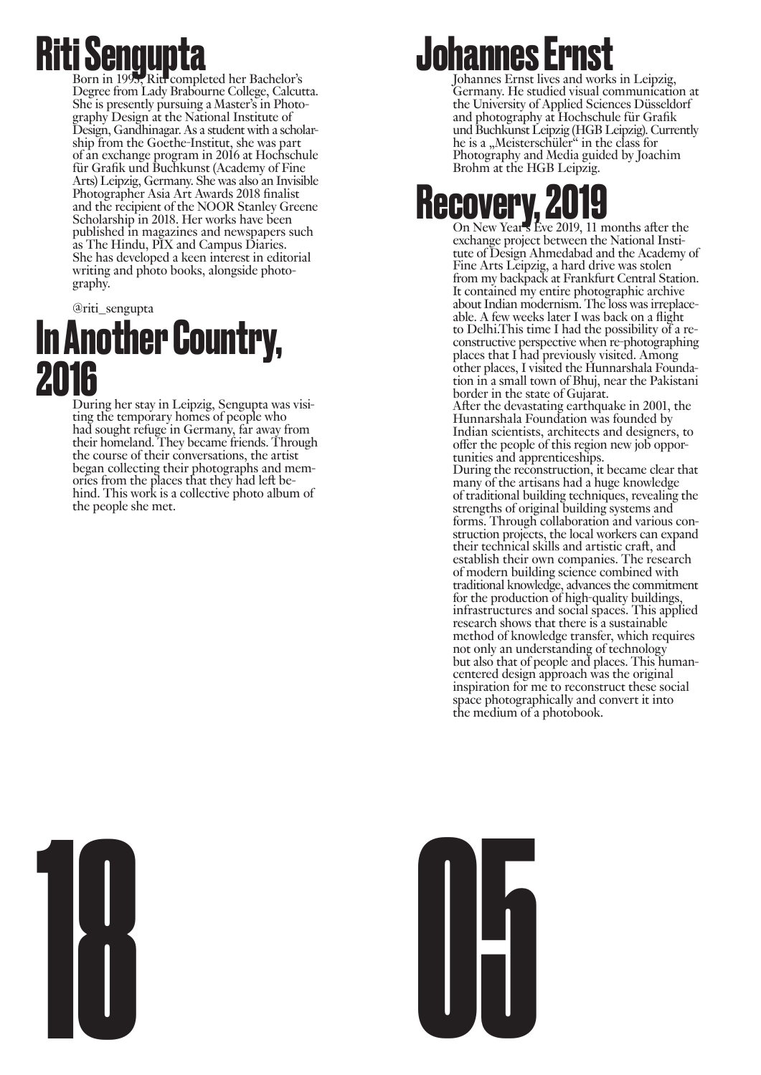**Riti Sengupta** Born in 1993, Riti completed her Bachelor's Degree from Lady Brabourne College, Calcutta. She is presently pursuing a Master's in Photography Design at the National Institute of Design, Gandhinagar. As a student with a scholarship from the Goethe-Institut, she was part of an exchange program in 2016 at Hochschule für Grafik und Buchkunst (Academy of Fine Arts) Leipzig, Germany. She was also an Invisible Photographer Asia Art Awards 2018 finalist and the recipient of the NOOR Stanley Greene Scholarship in 2018. Her works have been published in magazines and newspapers such as The Hindu, PIX and Campus Diaries. She has developed a keen interest in editorial writing and photo books, alongside photography.

#### @riti\_sengupta **In Another Country, 2016**<br>During her stay in Leipzig, Sengupta was visi-

ting the temporary homes of people who had sought refuge in Germany, far away from their homeland. They became friends. Through the course of their conversations, the artist began collecting their photographs and memories from the places that they had left be- hind. This work is a collective photo album of the people she met.

#### **Johannes Ernst**

Johannes Ernst lives and works in Leipzig, Germany. He studied visual communication at the University of Applied Sciences Düsseldorf and photography at Hochschule für Grafik und Buchkunst Leipzig (HGB Leipzig). Currently he is a "Meisterschüler" in the class for Photography and Media guided by Joachim Brohm at the HGB Leipzig.

# **Recovery, 2019** On New Year's Eve 2019, 11 months after the

exchange project between the National Institute of Design Ahmedabad and the Academy of Fine Arts Leipzig, a hard drive was stolen from my backpack at Frankfurt Central Station. It contained my entire photographic archive about Indian modernism. The loss was irreplaceable. A few weeks later I was back on a flight to Delhi.This time I had the possibility of a reconstructive perspective when re-photographing places that I had previously visited. Among other places, I visited the Hunnarshala Foundation in a small town of Bhuj, near the Pakistani border in the state of Gujarat. After the devastating earthquake in 2001, the Hunnarshala Foundation was founded by Indian scientists, architects and designers, to offer the people of this region new job oppor- tunities and apprenticeships. During the reconstruction, it became clear that many of the artisans had a huge knowledge of traditional building techniques, revealing the strengths of original building systems and forms. Through collaboration and various construction projects, the local workers can expand their technical skills and artistic craft, and establish their own companies. The research of modern building science combined with traditional knowledge, advances the commitment for the production of high-quality buildings, infrastructures and social spaces. This applied research shows that there is a sustainable method of knowledge transfer, which requires not only an understanding of technology but also that of people and places. This humancentered design approach was the original inspiration for me to reconstruct these social space photographically and convert it into the medium of a photobook.



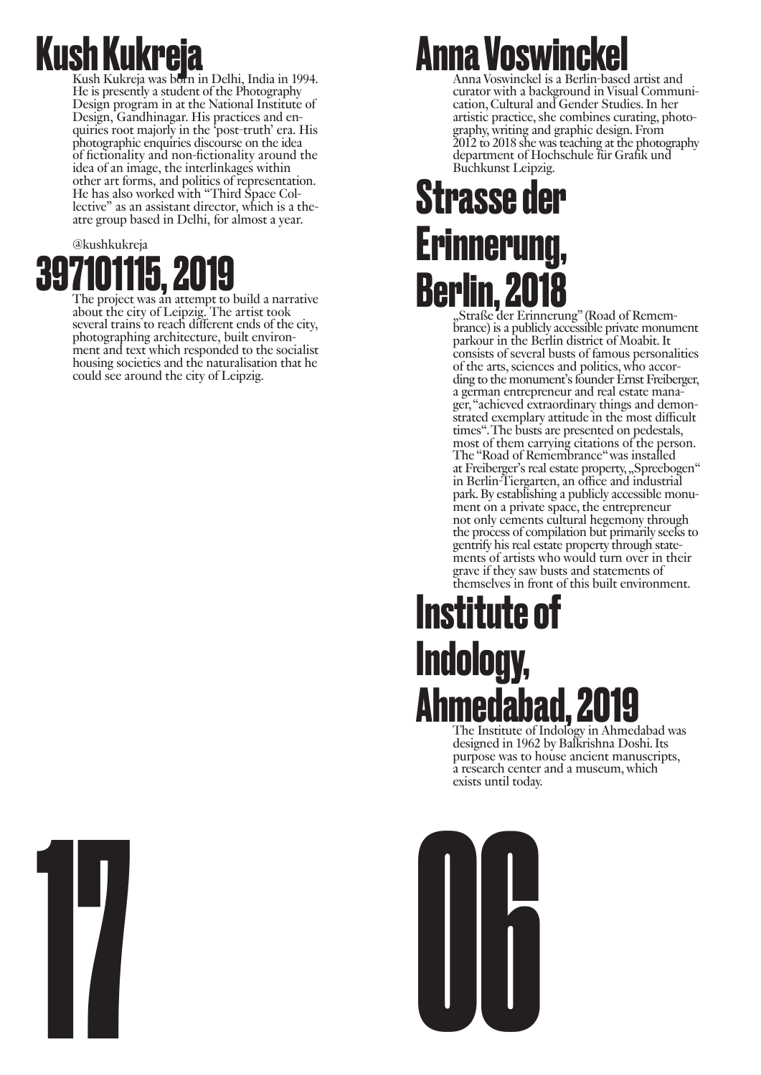## **Kush Kukreja** Kush Kukreja was born in Delhi, India in 1994.

He is presently a student of the Photography Design program in at the National Institute of Design, Gandhinagar. His practices and enquiries root majorly in the 'post-truth' era. His photographic enquiries discourse on the idea of fictionality and non-fictionality around the idea of an image, the interlinkages within other art forms, and politics of representation. He has also worked with "Third Space Collective" as an assistant director, which is a theatre group based in Delhi, for almost a year.

#### @kushkukreja **397101115, 2019** The project was an attempt to build a narrative

about the city of Leipzig. The artist took several trains to reach different ends of the city, photographing architecture, built environ- ment and text which responded to the socialist housing societies and the naturalisation that he could see around the city of Leipzig.

#### **Anna Voswinckel**

Anna Voswinckel is a Berlin-based artist and curator with a background in Visual Communication, Cultural and Gender Studies. In her artistic practice, she combines curating, photo- graphy, writing and graphic design. From 2012 to 2018 she was teaching at the photography department of Hochschule für Grafik und Buchkunst Leipzig.

#### **Strasse der Erinnerung,** Berlin, 2018<br>
"Straße der Erinnerung" (Road of Remem-

brance) is a publicly accessible private monument parkour in the Berlin district of Moabit. It consists of several busts of famous personalities of the arts, sciences and politics, who according to the monument's founder Ernst Freiberger, a german entrepreneur and real estate manager, "achieved extraordinary things and demonstrated exemplary attitude in the most difficult times". The busts are presented on pedestals, most of them carrying citations of the person. The "Road of Remembrance" was installed at Freiberger's real estate property, "Spreebogen" in Berlin-Tiergarten, an office and industrial park. By establishing a publicly accessible monument on a private space, the entrepreneur not only cements cultural hegemony through the process of compilation but primarily seeks to gentrify his real estate property through statements of artists who would turn over in their grave if they saw busts and statements of themselves in front of this built environment.

#### **Institute of Indology,**  Ahmedabad, 2019

designed in 1962 by Balkrishna Doshi. Its purpose was to house ancient manuscripts, a research center and a museum, which exists until today.



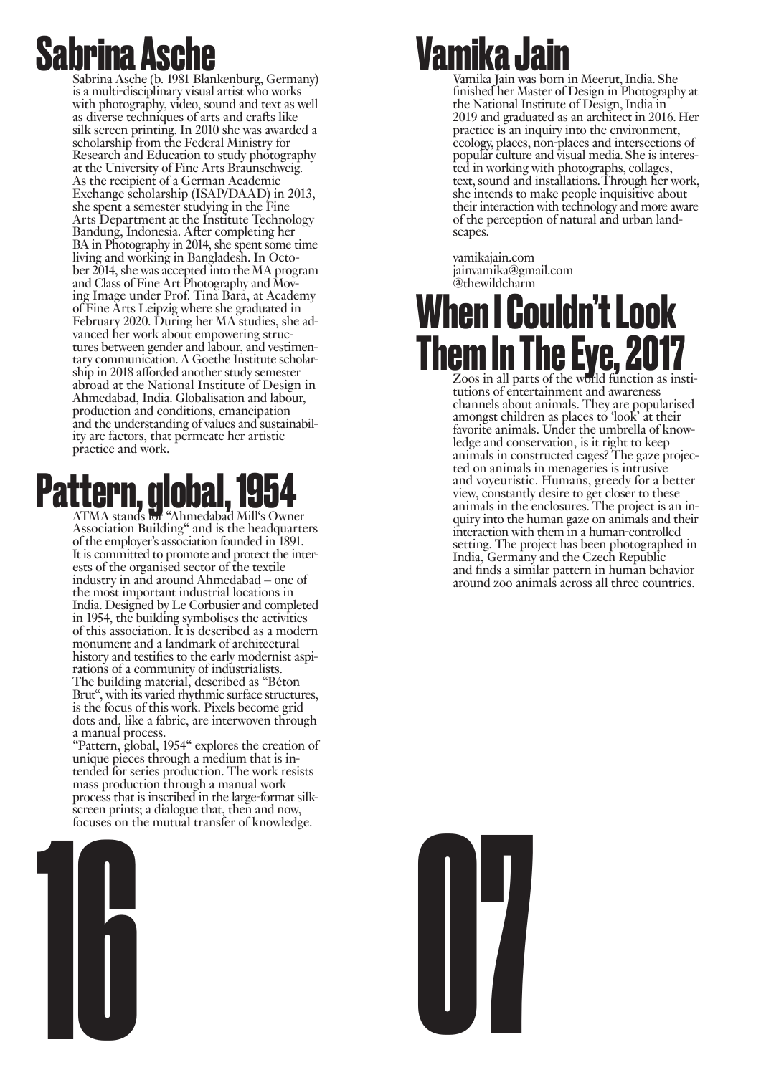#### **Sabrina Asc**

Sabrina Asche (b. 1981 Blankenburg, Germany) is a multi-disciplinary visual artist who works with photography, video, sound and text as well as diverse techniques of arts and crafts like silk screen printing. In 2010 she was awarded a scholarship from the Federal Ministry for Research and Education to study photography at the University of Fine Arts Braunschweig. As the recipient of a German Academic Exchange scholarship (ISAP/DAAD) in 2013, she spent a semester studying in the Fine Arts Department at the Institute Technology Bandung, Indonesia. After completing her BA in Photography in 2014, she spent some time living and working in Bangladesh. In October 2014, she was accepted into the MA program and Class of Fine Art Photography and Moving Image under Prof. Tina Bara, at Academy of Fine Arts Leipzig where she graduated in February 2020. During her MA studies, she advanced her work about empowering structures between gender and labour, and vestimentary communication. A Goethe Institute scholarship in 2018 afforded another study semester abroad at the National Institute of Design in Ahmedabad, India. Globalisation and labour, production and conditions, emancipation and the understanding of values and sustainability are factors, that permeate her artistic practice and work.

### Pattern, global, 1954

Association Building" and is the headquarters of the employer's association founded in 1891. It is committed to promote and protect the interests of the organised sector of the textile industry in and around Ahmedabad – one of the most important industrial locations in India. Designed by Le Corbusier and completed in 1954, the building symbolises the activities of this association. It is described as a modern monument and a landmark of architectural history and testifies to the early modernist aspirations of a community of industrialists. The building material, described as "Béton Brut", with its varied rhythmic surface structures, is the focus of this work. Pixels become grid dots and, like a fabric, are interwoven through a manual process.

"Pattern, global, 1954" explores the creation of tended for series production. The work resists mass production through a manual work process that is inscribed in the large-format silkscreen prints; a dialogue that, then and now, focuses on the mutual transfer of knowledge.



#### **Vamika Jai**

Vamika Jain was born in Meerut, India. She finished her Master of Design in Photography at the National Institute of Design, India in 2019 and graduated as an architect in 2016. Her practice is an inquiry into the environment, ecology, places, non-places and intersections of popular culture and visual media. She is interested in working with photographs, collages, text, sound and installations. Through her work, she intends to make people inquisitive about their interaction with technology and more aware of the perception of natural and urban landscapes.

vamikajain.com jainvamika@gmail.com @thewildcharm

#### **When I Couldn't Look Them In The Eye, 2017**

tutions of entertainment and awareness channels about animals. They are popularised amongst children as places to 'look' at their favorite animals. Under the umbrella of knowledge and conservation, is it right to keep animals in constructed cages? The gaze projected on animals in menageries is intrusive and voyeuristic. Humans, greedy for a better view, constantly desire to get closer to these animals in the enclosures. The project is an in- quiry into the human gaze on animals and their quiry into the human gaze on animals and their<br>interaction with them in a human-controlled setting. The project has been photographed in India, Germany and the Czech Republic and finds a similar pattern in human behavior around zoo animals across all three countries.

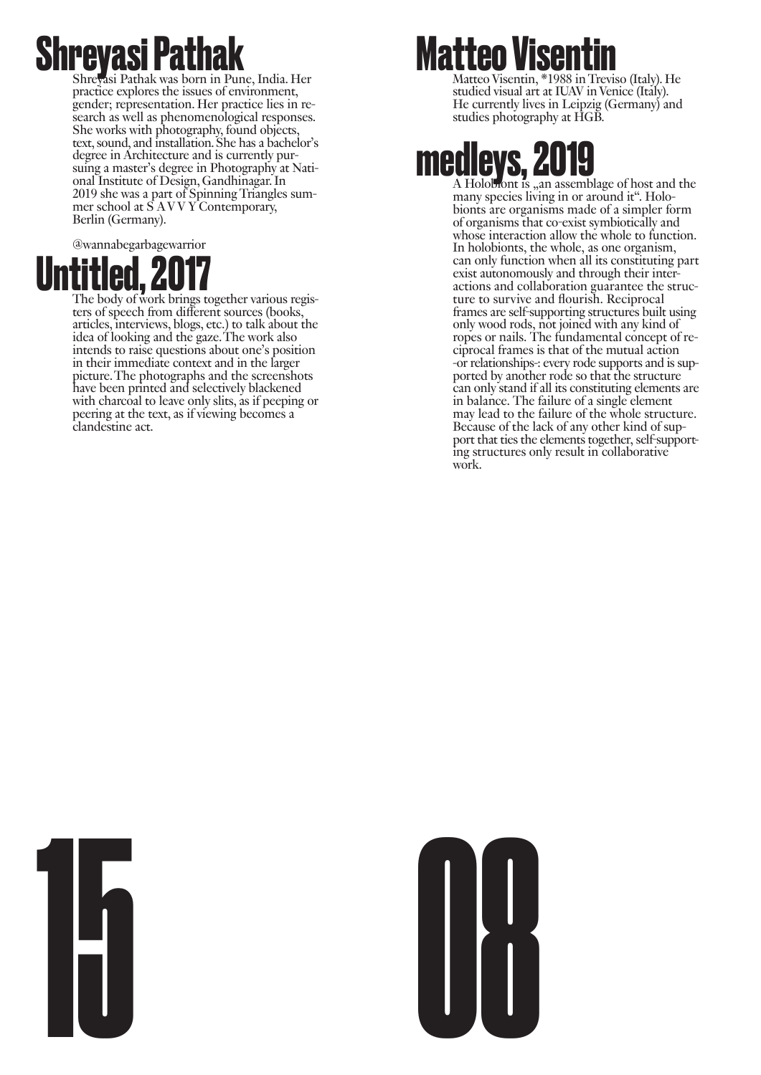## **Shreyasi Pathak** Was born in Pune, India. Her

practice explores the issues of environment, gender; representation. Her practice lies in re- search as well as phenomenological responses. She works with photography, found objects, text, sound, and installation. She has a bachelor's suing a master's degree in Photography at Nati-<br>onal Institute of Design, Gandhinagar. In 2019 she was a part of Spinning Triangles sum- mer school at S A V V Y Contemporary, Berlin (Germany).

@wannabegarbagewarrior



**UNICED, 2017**<br>The body of work brings together various regis-<br>ters of speech from different sources (books, articles, interviews, blogs, etc.) to talk about the idea of looking and the gaze. The work also intends to raise questions about one's position in their immediate context and in the larger picture. The photographs and the screenshots have been printed and selectively blackened with charcoal to leave only slits, as if peeping or peering at the text, as if viewing becomes a clandestine act.

#### **Matteo Visentin**

Matteo Visentin, \*1988 in Treviso (Italy). He studied visual art at IUAV in Venice (Italy). He currently lives in Leipzig (Germany) and studies photography at HGB.

# **medleys, 2019**<br>A Holobiont is , an assemblage of host and the many species living in or around it". Holo-

bionts are organisms made of a simpler form. of organisms that co-exist symbiotically and whose interaction allow the whole to function. In holobionts, the whole, as one organism, can only function when all its constituting part exist autonomously and through their interactions and collaboration guarantee the structure to survive and flourish. Reciprocal frames are self-supporting structures built using only wood rods, not joined with any kind of ropes or nails. The fundamental concept of reciprocal frames is that of the mutual action -or relationships-: every rode supports and is supported by another rode so that the structure can only stand if all its constituting elements are in balance. The failure of a single element may lead to the failure of the whole structure. Because of the lack of any other kind of support that ties the elements together, self-supporting structures only result in collaborative work.



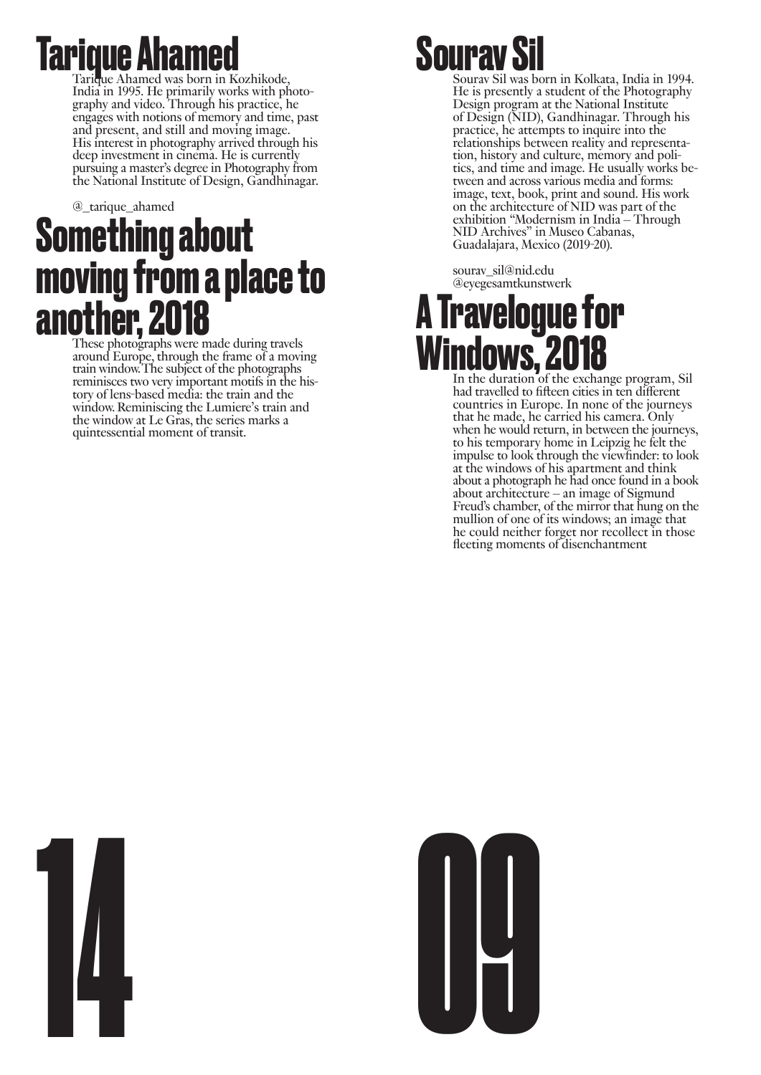# **Tarique Ahamed**<br>Tarique Ahamed was born in Kozhikode,

India in 1995. He primarily works with photography and video. Through his practice, he engages with notions of memory and time, past and present, and still and moving image. His interest in photography arrived through his deep investment in cinema. He is currently pursuing a master's degree in Photography from the National Institute of Design, Gandhinagar.

#### @\_tarique\_ahamed **Something about moving from a place to another, 2018** These photographs were made during travels

around Europe, through the frame of a moving train window. The subject of the photographs reminisces two very important motifs in the history of lens-based media: the train and the window. Reminiscing the Lumiere's train and the window at Le Gras, the series marks a quintessential moment of transit.

#### **Sourav S**

Sourav Sil was born in Kolkata, India in 1994. He is presently a student of the Photography Design program at the National Institute of Design (NID), Gandhinagar. Through his practice, he attempts to inquire into the relationships between reality and representation, history and culture, memory and politics, and time and image. He usually works between and across various media and forms: image, text, book, print and sound. His work on the architecture of NID was part of the exhibition "Modernism in India – Through NID Archives" in Museo Cabanas, Guadalajara, Mexico (2019-20).

sourav\_sil@nid.edu @eyegesamtkunstwerk

#### **A Travelogue for Windows, 2018**<br>In the duration of the exchange program, Sil

had travelled to fifteen cities in ten different countries in Europe. In none of the journeys that he made, he carried his camera. Only when he would return, in between the journeys, to his temporary home in Leipzig he felt the impulse to look through the viewfinder: to look at the windows of his apartment and think about a photograph he had once found in a book about architecture – an image of Sigmund Freud's chamber, of the mirror that hung on the mullion of one of its windows; an image that he could neither forget nor recollect in those fleeting moments of disenchantment



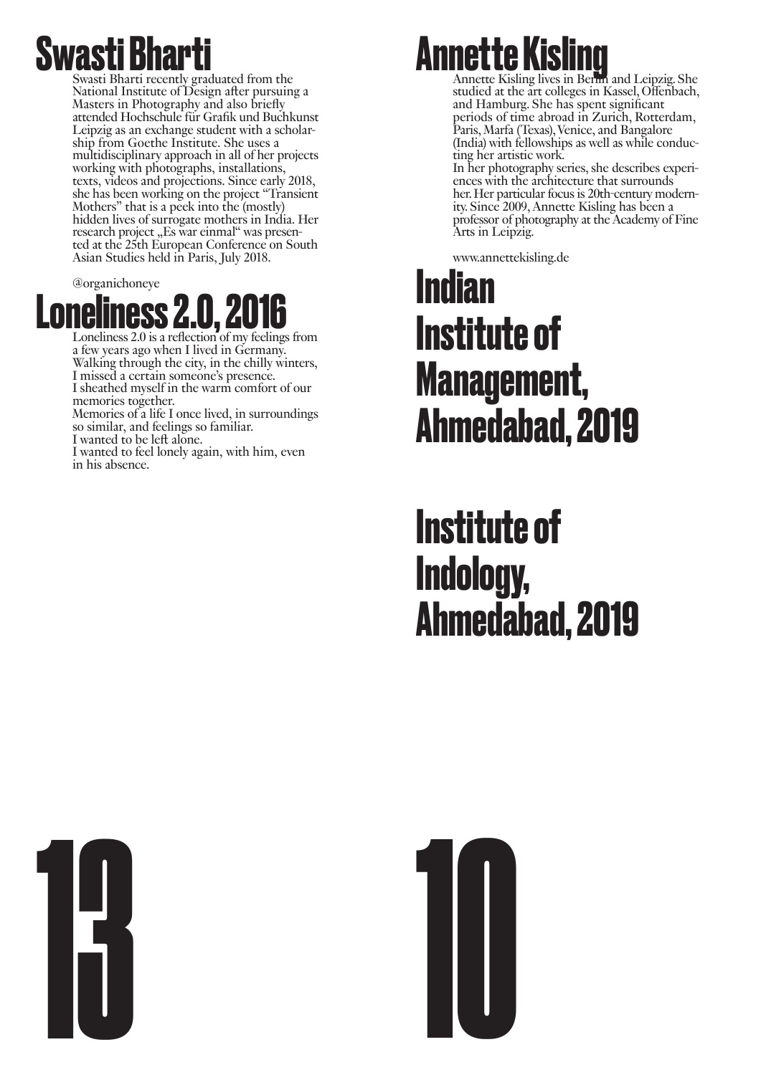

Swasti Bharti recently graduated from the National Institute of Design after pursuing a Masters in Photography and also briefly attended Hochschule für Grafik und Buchkunst Leipzig as an exchange student with a scholarship from Goethe Institute. She uses a multidisciplinary approach in all of her projects working with photographs, installations, texts, videos and projections. Since early 2018, she has been working on the project "Transient Mothers" that is a peek into the (mostly) hidden lives of surrogate mothers in India. Her research project "Es war einmal" was presented at the 25th European Conference on South Asian Studies held in Paris, July 2018.

@organichoneye



a few years ago when I lived in Germany. Walking through the city, in the chilly winters, I missed a certain someone's presence. I sheathed myself in the warm comfort of our memories together.

Memories of a life I once lived, in surroundings so similar, and feelings so familiar.

I wanted to be left alone. I wanted to feel lonely again, with him, even in his absence.

#### **Annette Kisling Ing Annette Kisling lives in Berlin and Leipzig. She**

studied at the art colleges in Kassel, Offenbach, and Hamburg. She has spent significant periods of time abroad in Zurich, Rotterdam, Paris, Marfa (Texas), Venice, and Bangalore (India) with fellowships as well as while conducting her artistic work.

In her photography series, she describes experiences with the architecture that surrounds her. Her particular focus is 20th-century modernity. Since 2009, Annette Kisling has been a professor of photography at the Academy of Fine Arts in Leipzig.

www.annettekisling.de

#### **Indian Institute of Management, Ahmedabad, 2019**

**Institute of Indology, Ahmedabad, 2019**